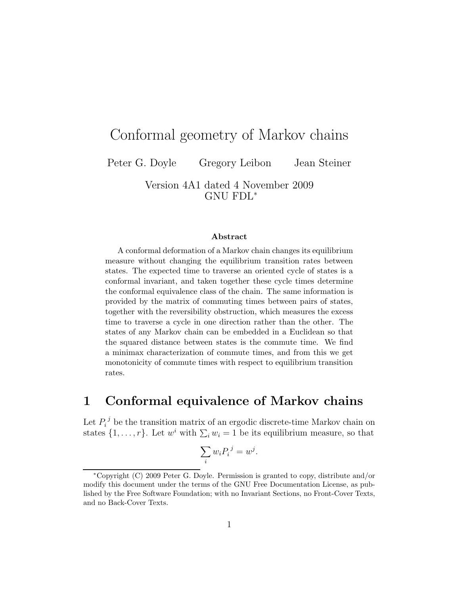# Conformal geometry of Markov chains

Peter G. Doyle Gregory Leibon Jean Steiner

Version 4A1 dated 4 November 2009 GNU FDL<sup>∗</sup>

#### Abstract

A conformal deformation of a Markov chain changes its equilibrium measure without changing the equilibrium transition rates between states. The expected time to traverse an oriented cycle of states is a conformal invariant, and taken together these cycle times determine the conformal equivalence class of the chain. The same information is provided by the matrix of commuting times between pairs of states, together with the reversibility obstruction, which measures the excess time to traverse a cycle in one direction rather than the other. The states of any Markov chain can be embedded in a Euclidean so that the squared distance between states is the commute time. We find a minimax characterization of commute times, and from this we get monotonicity of commute times with respect to equilibrium transition rates.

# 1 Conformal equivalence of Markov chains

Let  $P_i^j$  be the transition matrix of an ergodic discrete-time Markov chain on states  $\{1, \ldots, r\}$ . Let  $w^i$  with  $\sum_i w_i = 1$  be its equilibrium measure, so that

$$
\sum_i w_i P_i^{\ j} = w^j
$$

.

<sup>∗</sup>Copyright (C) 2009 Peter G. Doyle. Permission is granted to copy, distribute and/or modify this document under the terms of the GNU Free Documentation License, as published by the Free Software Foundation; with no Invariant Sections, no Front-Cover Texts, and no Back-Cover Texts.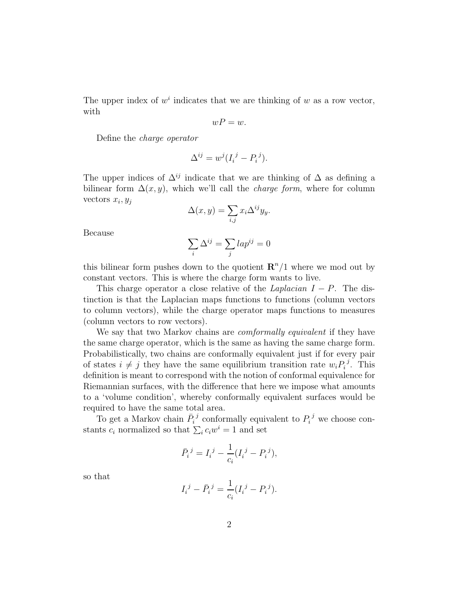The upper index of  $w^i$  indicates that we are thinking of w as a row vector, with

$$
wP=w.
$$

Define the charge operator

$$
\Delta^{ij} = w^j (I_i^{\ j} - P_i^{\ j}).
$$

The upper indices of  $\Delta^{ij}$  indicate that we are thinking of  $\Delta$  as defining a bilinear form  $\Delta(x, y)$ , which we'll call the *charge form*, where for column vectors  $x_i, y_j$ 

$$
\Delta(x, y) = \sum_{i,j} x_i \Delta^{ij} y_y.
$$

Because

$$
\sum_i \Delta^{ij} = \sum_j lap^{ij} = 0
$$

this bilinear form pushes down to the quotient  $\mathbb{R}^n/1$  where we mod out by constant vectors. This is where the charge form wants to live.

This charge operator a close relative of the *Laplacian*  $I - P$ . The distinction is that the Laplacian maps functions to functions (column vectors to column vectors), while the charge operator maps functions to measures (column vectors to row vectors).

We say that two Markov chains are *comformally equivalent* if they have the same charge operator, which is the same as having the same charge form. Probabilistically, two chains are conformally equivalent just if for every pair of states  $i \neq j$  they have the same equilibrium transition rate  $w_i P_i^j$  $i^j$ . This definition is meant to correspond with the notion of conformal equivalence for Riemannian surfaces, with the difference that here we impose what amounts to a 'volume condition', whereby conformally equivalent surfaces would be required to have the same total area.

To get a Markov chain  $\bar{P}_i^j$  conformally equivalent to  $P_i^j$  we choose constants  $c_i$  normalized so that  $\sum_i c_i w^i = 1$  and set

$$
\bar{P}_i^{\ j} = I_i^{\ j} - \frac{1}{c_i} (I_i^{\ j} - P_i^{\ j}),
$$

so that

$$
I_i{}^j - \bar{P}_i{}^j = \frac{1}{c_i} (I_i{}^j - P_i{}^j).
$$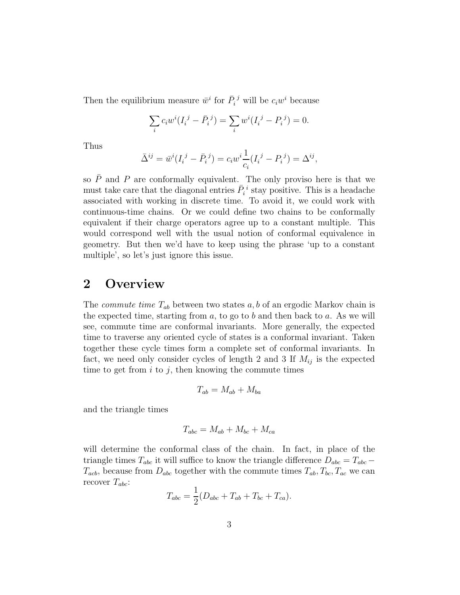Then the equilibrium measure  $\bar{w}^i$  for  $\bar{P}_i^j$  will be  $c_iw^i$  because

$$
\sum_{i} c_i w^i (I_i^{\ j} - \bar{P}_i^{\ j}) = \sum_{i} w^i (I_i^{\ j} - P_i^{\ j}) = 0.
$$

Thus

$$
\bar{\Delta}^{ij} = \bar{w}^i (I_i^{\ j} - \bar{P}_i^{\ j}) = c_i w^i \frac{1}{c_i} (I_i^{\ j} - P_i^{\ j}) = \Delta^{ij},
$$

so  $\overline{P}$  and P are conformally equivalent. The only proviso here is that we must take care that the diagonal entries  $\bar{P}_i^i$  stay positive. This is a headache associated with working in discrete time. To avoid it, we could work with continuous-time chains. Or we could define two chains to be conformally equivalent if their charge operators agree up to a constant multiple. This would correspond well with the usual notion of conformal equivalence in geometry. But then we'd have to keep using the phrase 'up to a constant multiple', so let's just ignore this issue.

# 2 Overview

The *commute time*  $T_{ab}$  between two states  $a, b$  of an ergodic Markov chain is the expected time, starting from  $a$ , to go to  $b$  and then back to  $a$ . As we will see, commute time are conformal invariants. More generally, the expected time to traverse any oriented cycle of states is a conformal invariant. Taken together these cycle times form a complete set of conformal invariants. In fact, we need only consider cycles of length 2 and 3 If  $M_{ij}$  is the expected time to get from  $i$  to  $j$ , then knowing the commute times

$$
T_{ab} = M_{ab} + M_{ba}
$$

and the triangle times

$$
T_{abc} = M_{ab} + M_{bc} + M_{ca}
$$

will determine the conformal class of the chain. In fact, in place of the triangle times  $T_{abc}$  it will suffice to know the triangle difference  $D_{abc} = T_{abc} T_{acb}$ , because from  $D_{abc}$  together with the commute times  $T_{ab}$ ,  $T_{bc}$ ,  $T_{ac}$  we can recover  $T_{abc}$ :

$$
T_{abc} = \frac{1}{2}(D_{abc} + T_{ab} + T_{bc} + T_{ca}).
$$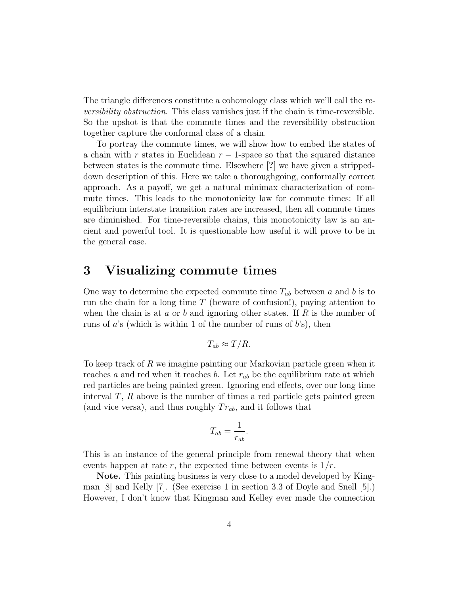The triangle differences constitute a cohomology class which we'll call the reversibility obstruction. This class vanishes just if the chain is time-reversible. So the upshot is that the commute times and the reversibility obstruction together capture the conformal class of a chain.

To portray the commute times, we will show how to embed the states of a chain with r states in Euclidean  $r - 1$ -space so that the squared distance between states is the commute time. Elsewhere [?] we have given a strippeddown description of this. Here we take a thoroughgoing, conformally correct approach. As a payoff, we get a natural minimax characterization of commute times. This leads to the monotonicity law for commute times: If all equilibrium interstate transition rates are increased, then all commute times are diminished. For time-reversible chains, this monotonicity law is an ancient and powerful tool. It is questionable how useful it will prove to be in the general case.

## 3 Visualizing commute times

One way to determine the expected commute time  $T_{ab}$  between a and b is to run the chain for a long time  $T$  (beware of confusion!), paying attention to when the chain is at a or b and ignoring other states. If R is the number of runs of  $a$ 's (which is within 1 of the number of runs of  $b$ 's), then

$$
T_{ab} \approx T/R.
$$

To keep track of R we imagine painting our Markovian particle green when it reaches a and red when it reaches b. Let  $r_{ab}$  be the equilibrium rate at which red particles are being painted green. Ignoring end effects, over our long time interval  $T$ ,  $R$  above is the number of times a red particle gets painted green (and vice versa), and thus roughly  $Tr_{ab}$ , and it follows that

$$
T_{ab} = \frac{1}{r_{ab}}.
$$

This is an instance of the general principle from renewal theory that when events happen at rate r, the expected time between events is  $1/r$ .

Note. This painting business is very close to a model developed by Kingman [8] and Kelly [7]. (See exercise 1 in section 3.3 of Doyle and Snell [5].) However, I don't know that Kingman and Kelley ever made the connection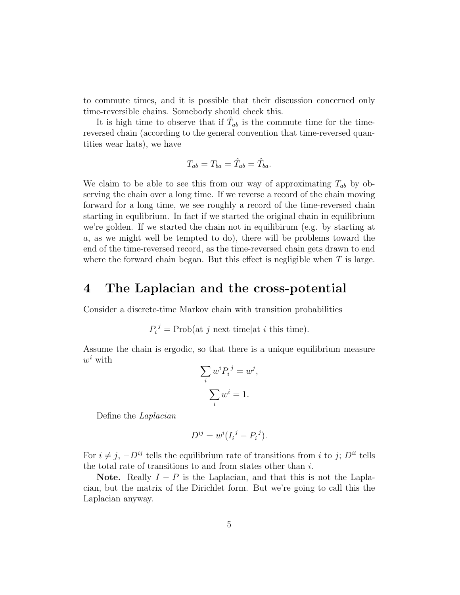to commute times, and it is possible that their discussion concerned only time-reversible chains. Somebody should check this.

It is high time to observe that if  $\hat{T}_{ab}$  is the commute time for the timereversed chain (according to the general convention that time-reversed quantities wear hats), we have

$$
T_{ab}=T_{ba}=\hat{T}_{ab}=\hat{T}_{ba}.
$$

We claim to be able to see this from our way of approximating  $T_{ab}$  by observing the chain over a long time. If we reverse a record of the chain moving forward for a long time, we see roughly a record of the time-reversed chain starting in equlibrium. In fact if we started the original chain in equilibrium we're golden. If we started the chain not in equilibirum (e.g. by starting at a, as we might well be tempted to do), there will be problems toward the end of the time-reversed record, as the time-reversed chain gets drawn to end where the forward chain began. But this effect is negligible when  $T$  is large.

#### 4 The Laplacian and the cross-potential

Consider a discrete-time Markov chain with transition probabilities

 $P_i^j = \text{Prob}(\text{at } j \text{ next time} | \text{at } i \text{ this time}).$ 

Assume the chain is ergodic, so that there is a unique equilibrium measure  $w^i$  with

$$
\sum_{i} w^{i} P_{i}{}^{j} = w^{j},
$$

$$
\sum_{i} w^{i} = 1.
$$

Define the Laplacian

$$
D^{ij} = w^i (I_i^j - P_i^j).
$$

For  $i \neq j$ ,  $-D^{ij}$  tells the equilibrium rate of transitions from i to j;  $D^{ii}$  tells the total rate of transitions to and from states other than  $i$ .

Note. Really  $I - P$  is the Laplacian, and that this is not the Laplacian, but the matrix of the Dirichlet form. But we're going to call this the Laplacian anyway.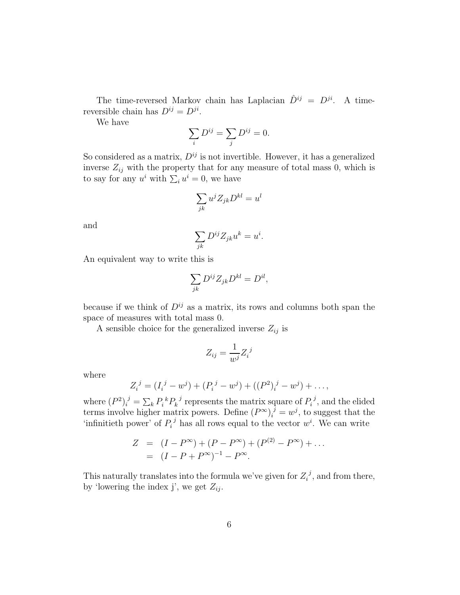The time-reversed Markov chain has Laplacian  $\hat{D}^{ij} = D^{ji}$ . A timereversible chain has  $D^{ij} = D^{ji}$ .

We have

$$
\sum_i D^{ij} = \sum_j D^{ij} = 0.
$$

So considered as a matrix,  $D^{ij}$  is not invertible. However, it has a generalized inverse  $Z_{ij}$  with the property that for any measure of total mass 0, which is to say for any  $u^i$  with  $\sum_i u^i = 0$ , we have

$$
\sum_{jk} u^j Z_{jk} D^{kl} = u^l
$$

and

$$
\sum_{jk} D^{ij} Z_{jk} u^k = u^i.
$$

An equivalent way to write this is

$$
\sum_{jk} D^{ij} Z_{jk} D^{kl} = D^{il},
$$

because if we think of  $D^{ij}$  as a matrix, its rows and columns both span the space of measures with total mass 0.

A sensible choice for the generalized inverse  $Z_{ij}$  is

$$
Z_{ij} = \frac{1}{w^j} Z_i^{\ j}
$$

where

$$
Z_i^{\ j} = (I_i^{\ j} - w^j) + (P_i^{\ j} - w^j) + ((P^2)_i^{\ j} - w^j) + \dots,
$$

where  $(P^2)_i^j = \sum_k P_i^k P_k^j$  $P_k^{\ j}$  represents the matrix square of  $P_i^{\ j}$  $P_i^{\,j}$ , and the elided terms involve higher matrix powers. Define  $(P^{\infty})_i^{\bar{j}} = w^j$ , to suggest that the 'infinitieth power' of  $P_i^j$  has all rows equal to the vector  $w^i$ . We can write

$$
Z = (I - P^{\infty}) + (P - P^{\infty}) + (P^{(2)} - P^{\infty}) + \dots
$$
  
=  $(I - P + P^{\infty})^{-1} - P^{\infty}.$ 

This naturally translates into the formula we've given for  $Z_i^{\ j}$  $i<sup>j</sup>$ , and from there, by 'lowering the index j', we get  $Z_{ij}$ .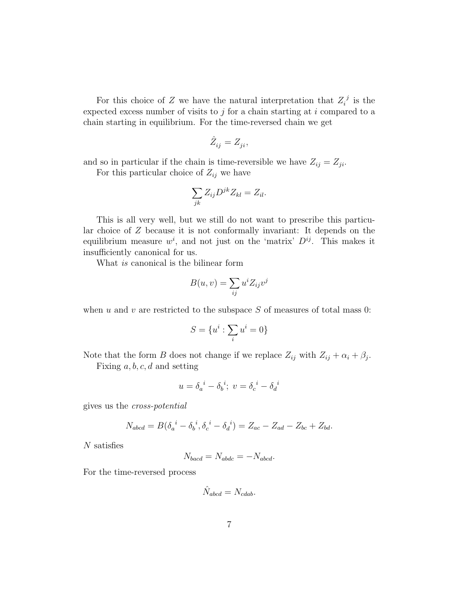For this choice of Z we have the natural interpretation that  $Z_i^j$  $i^j$  is the expected excess number of visits to  $j$  for a chain starting at  $i$  compared to a chain starting in equilibrium. For the time-reversed chain we get

$$
\hat{Z}_{ij} = Z_{ji},
$$

and so in particular if the chain is time-reversible we have  $Z_{ij} = Z_{ji}$ .

For this particular choice of  $Z_{ij}$  we have

$$
\sum_{jk} Z_{ij} D^{jk} Z_{kl} = Z_{il}.
$$

This is all very well, but we still do not want to prescribe this particular choice of Z because it is not conformally invariant: It depends on the equilibrium measure  $w^i$ , and not just on the 'matrix'  $D^{ij}$ . This makes it insufficiently canonical for us.

What is canonical is the bilinear form

$$
B(u, v) = \sum_{ij} u^i Z_{ij} v^j
$$

when  $u$  and  $v$  are restricted to the subspace  $S$  of measures of total mass 0:

$$
S=\{u^i:\sum_i u^i=0\}
$$

Note that the form B does not change if we replace  $Z_{ij}$  with  $Z_{ij} + \alpha_i + \beta_j$ .

Fixing  $a, b, c, d$  and setting

$$
u = \delta_a^{\ i} - \delta_b^{\ i}; \ v = \delta_c^{\ i} - \delta_d^{\ i}
$$

gives us the cross-potential

$$
N_{abcd} = B(\delta_a^{i} - \delta_b^{i}, \delta_c^{i} - \delta_d^{i}) = Z_{ac} - Z_{ad} - Z_{bc} + Z_{bd}.
$$

N satisfies

$$
N_{\text{bacd}} = N_{\text{abdc}} = -N_{\text{abcd}}.
$$

For the time-reversed process

$$
\hat{N}_{abcd} = N_{cdab}.
$$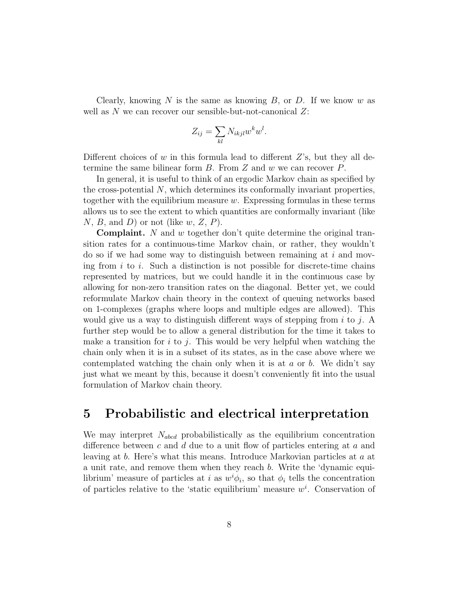Clearly, knowing N is the same as knowing B, or D. If we know w as well as  $N$  we can recover our sensible-but-not-canonical  $Z$ :

$$
Z_{ij} = \sum_{kl} N_{ikjl} w^k w^l.
$$

Different choices of w in this formula lead to different  $Z$ 's, but they all determine the same bilinear form  $B$ . From  $Z$  and  $w$  we can recover  $P$ .

In general, it is useful to think of an ergodic Markov chain as specified by the cross-potential N, which determines its conformally invariant properties, together with the equilibrium measure  $w$ . Expressing formulas in these terms allows us to see the extent to which quantities are conformally invariant (like  $N, B, \text{ and } D$  or not (like  $w, Z, P$ ).

**Complaint.** N and w together don't quite determine the original transition rates for a continuous-time Markov chain, or rather, they wouldn't do so if we had some way to distinguish between remaining at  $i$  and moving from i to i. Such a distinction is not possible for discrete-time chains represented by matrices, but we could handle it in the continuous case by allowing for non-zero transition rates on the diagonal. Better yet, we could reformulate Markov chain theory in the context of queuing networks based on 1-complexes (graphs where loops and multiple edges are allowed). This would give us a way to distinguish different ways of stepping from i to j. A further step would be to allow a general distribution for the time it takes to make a transition for  $i$  to  $j$ . This would be very helpful when watching the chain only when it is in a subset of its states, as in the case above where we contemplated watching the chain only when it is at  $a$  or  $b$ . We didn't say just what we meant by this, because it doesn't conveniently fit into the usual formulation of Markov chain theory.

# 5 Probabilistic and electrical interpretation

We may interpret  $N_{abcd}$  probabilistically as the equilibrium concentration difference between  $c$  and  $d$  due to a unit flow of particles entering at  $a$  and leaving at b. Here's what this means. Introduce Markovian particles at a at a unit rate, and remove them when they reach b. Write the 'dynamic equilibrium' measure of particles at i as  $w^i \phi_i$ , so that  $\phi_i$  tells the concentration of particles relative to the 'static equilibrium' measure  $w<sup>i</sup>$ . Conservation of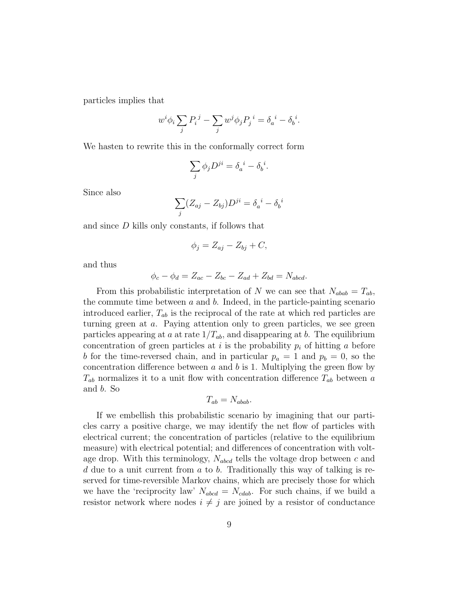particles implies that

$$
w^i \phi_i \sum_j P_i^j - \sum_j w^j \phi_j P_j^i = \delta_a^i - \delta_b^i.
$$

We hasten to rewrite this in the conformally correct form

$$
\sum_j \phi_j D^{ji} = \delta_a{}^i - \delta_b{}^i.
$$

Since also

$$
\sum_j (Z_{aj} - Z_{bj}) D^{ji} = \delta_a^{\ i} - \delta_b^{\ i}
$$

and since D kills only constants, if follows that

$$
\phi_j = Z_{aj} - Z_{bj} + C,
$$

and thus

$$
\phi_c - \phi_d = Z_{ac} - Z_{bc} - Z_{ad} + Z_{bd} = N_{abcd}.
$$

From this probabilistic interpretation of N we can see that  $N_{abab} = T_{ab}$ , the commute time between  $a$  and  $b$ . Indeed, in the particle-painting scenario introduced earlier,  $T_{ab}$  is the reciprocal of the rate at which red particles are turning green at a. Paying attention only to green particles, we see green particles appearing at a at rate  $1/T_{ab}$ , and disappearing at b. The equilibrium concentration of green particles at i is the probability  $p_i$  of hitting a before b for the time-reversed chain, and in particular  $p_a = 1$  and  $p_b = 0$ , so the concentration difference between  $a$  and  $b$  is 1. Multiplying the green flow by  $T_{ab}$  normalizes it to a unit flow with concentration difference  $T_{ab}$  between a and b. So

$$
T_{ab}=N_{abab}.
$$

If we embellish this probabilistic scenario by imagining that our particles carry a positive charge, we may identify the net flow of particles with electrical current; the concentration of particles (relative to the equilibrium measure) with electrical potential; and differences of concentration with voltage drop. With this terminology,  $N_{abcd}$  tells the voltage drop between c and  $d$  due to a unit current from  $a$  to  $b$ . Traditionally this way of talking is reserved for time-reversible Markov chains, which are precisely those for which we have the 'reciprocity law'  $N_{abcd} = N_{cdab}$ . For such chains, if we build a resistor network where nodes  $i \neq j$  are joined by a resistor of conductance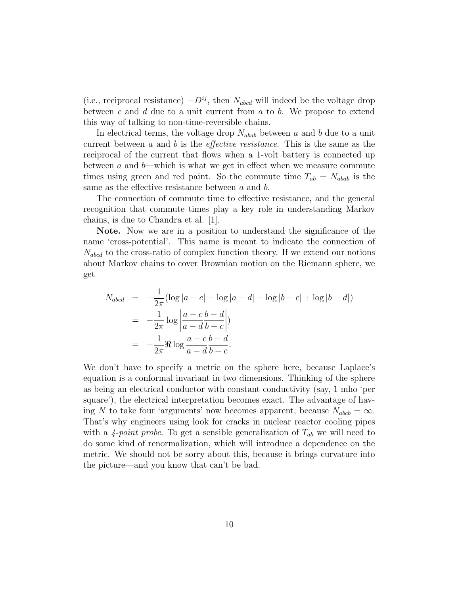(i.e., reciprocal resistance)  $-D^{ij}$ , then  $N_{abcd}$  will indeed be the voltage drop between  $c$  and  $d$  due to a unit current from  $a$  to  $b$ . We propose to extend this way of talking to non-time-reversible chains.

In electrical terms, the voltage drop  $N_{abab}$  between a and b due to a unit current between a and b is the *effective resistance*. This is the same as the reciprocal of the current that flows when a 1-volt battery is connected up between  $a$  and  $b$ —which is what we get in effect when we measure commute times using green and red paint. So the commute time  $T_{ab} = N_{abab}$  is the same as the effective resistance between  $a$  and  $b$ .

The connection of commute time to effective resistance, and the general recognition that commute times play a key role in understanding Markov chains, is due to Chandra et al. [1].

Note. Now we are in a position to understand the significance of the name 'cross-potential'. This name is meant to indicate the connection of  $N_{abcd}$  to the cross-ratio of complex function theory. If we extend our notions about Markov chains to cover Brownian motion on the Riemann sphere, we get

$$
N_{abcd} = -\frac{1}{2\pi} (\log |a - c| - \log |a - d| - \log |b - c| + \log |b - d|)
$$
  
= 
$$
-\frac{1}{2\pi} \log \left| \frac{a - c}{a - d} \frac{b - d}{b - c} \right|
$$
  
= 
$$
-\frac{1}{2\pi} \Re \log \frac{a - c}{a - d} \frac{b - d}{b - c}.
$$

We don't have to specify a metric on the sphere here, because Laplace's equation is a conformal invariant in two dimensions. Thinking of the sphere as being an electrical conductor with constant conductivity (say, 1 mho 'per square'), the electrical interpretation becomes exact. The advantage of having N to take four 'arguments' now becomes apparent, because  $N_{abcb} = \infty$ . That's why engineers using look for cracks in nuclear reactor cooling pipes with a 4-point probe. To get a sensible generalization of  $T_{ab}$  we will need to do some kind of renormalization, which will introduce a dependence on the metric. We should not be sorry about this, because it brings curvature into the picture—and you know that can't be bad.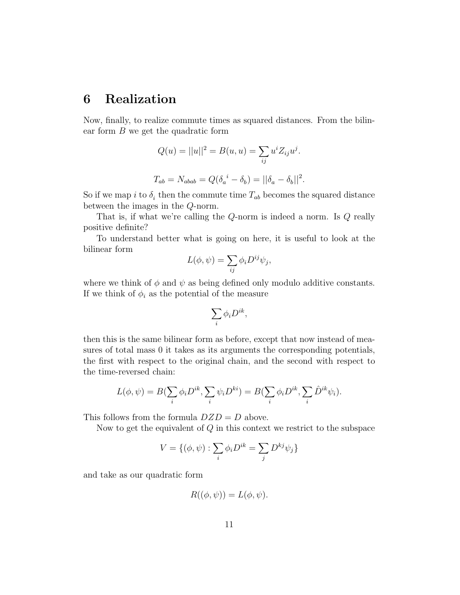# 6 Realization

Now, finally, to realize commute times as squared distances. From the bilinear form  $B$  we get the quadratic form

$$
Q(u) = ||u||^2 = B(u, u) = \sum_{ij} u^i Z_{ij} u^j.
$$
  

$$
T_{ab} = N_{abab} = Q(\delta_a{}^i - \delta_b) = ||\delta_a - \delta_b||^2.
$$

So if we map i to  $\delta_i$  then the commute time  $T_{ab}$  becomes the squared distance between the images in the Q-norm.

That is, if what we're calling the Q-norm is indeed a norm. Is Q really positive definite?

To understand better what is going on here, it is useful to look at the bilinear form

$$
L(\phi, \psi) = \sum_{ij} \phi_i D^{ij} \psi_j,
$$

where we think of  $\phi$  and  $\psi$  as being defined only modulo additive constants. If we think of  $\phi_i$  as the potential of the measure

$$
\sum_i \phi_i D^{ik},
$$

then this is the same bilinear form as before, except that now instead of measures of total mass 0 it takes as its arguments the corresponding potentials, the first with respect to the original chain, and the second with respect to the time-reversed chain:

$$
L(\phi, \psi) = B(\sum_{i} \phi_i D^{ik}, \sum_{i} \psi_i D^{ki}) = B(\sum_{i} \phi_i D^{ik}, \sum_{i} \hat{D}^{ik} \psi_i).
$$

This follows from the formula  $DZD = D$  above.

Now to get the equivalent of  $Q$  in this context we restrict to the subspace

$$
V = \{(\phi, \psi) : \sum_{i} \phi_i D^{ik} = \sum_{j} D^{kj} \psi_j \}
$$

and take as our quadratic form

$$
R((\phi, \psi)) = L(\phi, \psi).
$$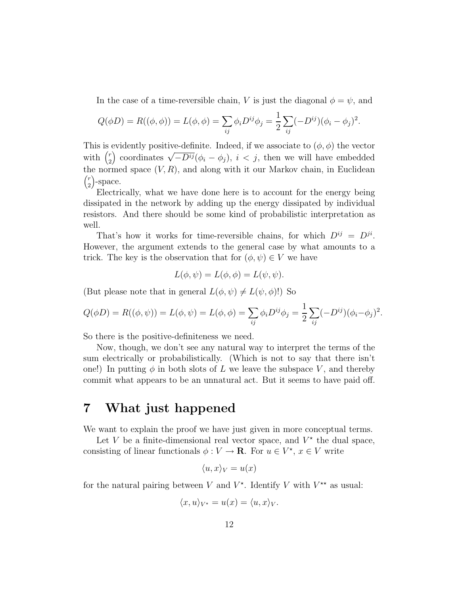In the case of a time-reversible chain, V is just the diagonal  $\phi = \psi$ , and

$$
Q(\phi D) = R((\phi, \phi)) = L(\phi, \phi) = \sum_{ij} \phi_i D^{ij} \phi_j = \frac{1}{2} \sum_{ij} (-D^{ij}) (\phi_i - \phi_j)^2.
$$

This is evidently positive-definite. Indeed, if we associate to  $(\phi, \phi)$  the vector with  $\binom{r}{2}$  $\binom{r}{2}$  coordinates  $\sqrt{-D^{ij}}(\phi_i - \phi_j)$ ,  $i < j$ , then we will have embedded the normed space  $(V, R)$ , and along with it our Markov chain, in Euclidean  $\int$  $\binom{r}{2}$ -space.

Electrically, what we have done here is to account for the energy being dissipated in the network by adding up the energy dissipated by individual resistors. And there should be some kind of probabilistic interpretation as well.

That's how it works for time-reversible chains, for which  $D^{ij} = D^{ji}$ . However, the argument extends to the general case by what amounts to a trick. The key is the observation that for  $(\phi, \psi) \in V$  we have

$$
L(\phi, \psi) = L(\phi, \phi) = L(\psi, \psi).
$$

(But please note that in general  $L(\phi, \psi) \neq L(\psi, \phi)!$ ) So

$$
Q(\phi D) = R((\phi, \psi)) = L(\phi, \psi) = L(\phi, \phi) = \sum_{ij} \phi_i D^{ij} \phi_j = \frac{1}{2} \sum_{ij} (-D^{ij}) (\phi_i - \phi_j)^2.
$$

So there is the positive-definiteness we need.

Now, though, we don't see any natural way to interpret the terms of the sum electrically or probabilistically. (Which is not to say that there isn't one!) In putting  $\phi$  in both slots of L we leave the subspace V, and thereby commit what appears to be an unnatural act. But it seems to have paid off.

## 7 What just happened

We want to explain the proof we have just given in more conceptual terms.

Let V be a finite-dimensional real vector space, and  $V^*$  the dual space, consisting of linear functionals  $\phi: V \to \mathbf{R}$ . For  $u \in V^*$ ,  $x \in V$  write

$$
\langle u, x \rangle_V = u(x)
$$

for the natural pairing between V and  $V^*$ . Identify V with  $V^{**}$  as usual:

$$
\langle x, u \rangle_{V^*} = u(x) = \langle u, x \rangle_V.
$$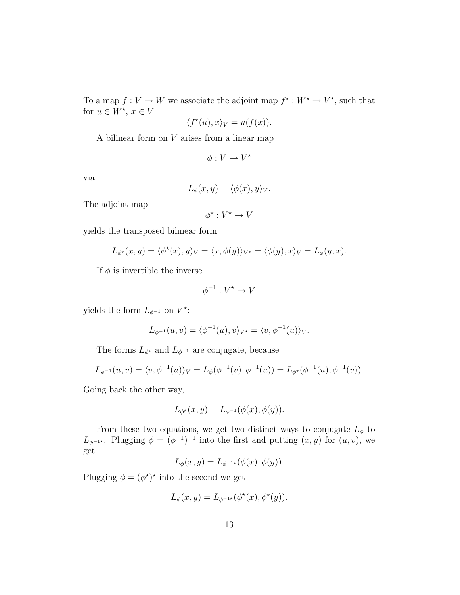To a map  $f: V \to W$  we associate the adjoint map  $f^* : W^* \to V^*$ , such that for  $u \in W^*$ ,  $x \in V$ 

$$
\langle f^*(u), x \rangle_V = u(f(x)).
$$

A bilinear form on V arises from a linear map

$$
\phi:V\to V^\star
$$

via

$$
L_{\phi}(x, y) = \langle \phi(x), y \rangle_V.
$$

The adjoint map

$$
\phi^\star:V^\star\to V
$$

yields the transposed bilinear form

$$
L_{\phi^*}(x, y) = \langle \phi^*(x), y \rangle_V = \langle x, \phi(y) \rangle_{V^*} = \langle \phi(y), x \rangle_V = L_{\phi}(y, x).
$$

If  $\phi$  is invertible the inverse

$$
\phi^{-1}:V^\star\to V
$$

yields the form  $L_{\phi^{-1}}$  on  $V^*$ :

$$
L_{\phi^{-1}}(u,v) = \langle \phi^{-1}(u), v \rangle_{V^*} = \langle v, \phi^{-1}(u) \rangle_V.
$$

The forms  $L_{\phi^*}$  and  $L_{\phi^{-1}}$  are conjugate, because

$$
L_{\phi^{-1}}(u,v) = \langle v, \phi^{-1}(u) \rangle_V = L_{\phi}(\phi^{-1}(v), \phi^{-1}(u)) = L_{\phi^*}(\phi^{-1}(u), \phi^{-1}(v)).
$$

Going back the other way,

$$
L_{\phi^*}(x, y) = L_{\phi^{-1}}(\phi(x), \phi(y)).
$$

From these two equations, we get two distinct ways to conjugate  $L_{\phi}$  to  $L_{\phi^{-1}}$ <sup>\*</sup>. Plugging  $\phi = (\phi^{-1})^{-1}$  into the first and putting  $(x, y)$  for  $(u, v)$ , we get

$$
L_{\phi}(x, y) = L_{\phi^{-1*}}(\phi(x), \phi(y)).
$$

Plugging  $\phi = (\phi^*)^*$  into the second we get

$$
L_{\phi}(x, y) = L_{\phi^{-1*}}(\phi^*(x), \phi^*(y)).
$$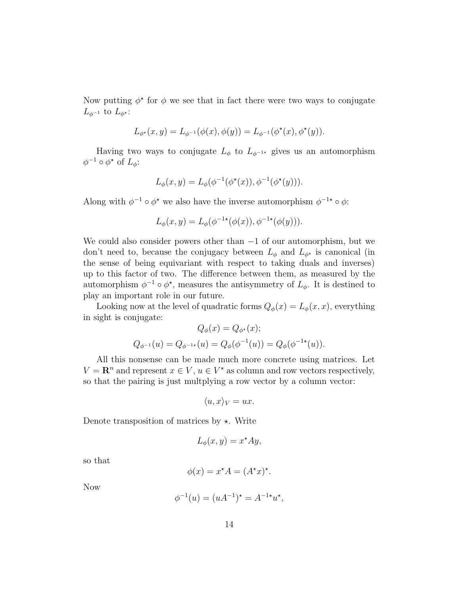Now putting  $\phi^*$  for  $\phi$  we see that in fact there were two ways to conjugate  $L_{\phi^{-1}}$  to  $L_{\phi^*}$ :

$$
L_{\phi^{\star}}(x, y) = L_{\phi^{-1}}(\phi(x), \phi(y)) = L_{\phi^{-1}}(\phi^{\star}(x), \phi^{\star}(y)).
$$

Having two ways to conjugate  $L_{\phi}$  to  $L_{\phi^{-1}}$  gives us an automorphism  $\phi^{-1} \circ \phi^*$  of  $L_{\phi}$ :

$$
L_{\phi}(x, y) = L_{\phi}(\phi^{-1}(\phi^{\star}(x)), \phi^{-1}(\phi^{\star}(y))).
$$

Along with  $\phi^{-1} \circ \phi^*$  we also have the inverse automorphism  $\phi^{-1*} \circ \phi$ :

$$
L_{\phi}(x, y) = L_{\phi}(\phi^{-1*}(\phi(x)), \phi^{-1*}(\phi(y))).
$$

We could also consider powers other than  $-1$  of our automorphism, but we don't need to, because the conjugacy between  $L_{\phi}$  and  $L_{\phi^*}$  is canonical (in the sense of being equivariant with respect to taking duals and inverses) up to this factor of two. The difference between them, as measured by the automorphism  $\phi^{-1} \circ \phi^*$ , measures the antisymmetry of  $L_{\phi}$ . It is destined to play an important role in our future.

Looking now at the level of quadratic forms  $Q_{\phi}(x) = L_{\phi}(x, x)$ , everything in sight is conjugate:  $Q(y) = Q(y)$ 

$$
Q_{\phi}(x) = Q_{\phi^*}(x);
$$
  

$$
Q_{\phi^{-1}}(u) = Q_{\phi^{-1*}}(u) = Q_{\phi}(\phi^{-1}(u)) = Q_{\phi}(\phi^{-1*}(u)).
$$

All this nonsense can be made much more concrete using matrices. Let  $V = \mathbf{R}^n$  and represent  $x \in V$ ,  $u \in V^*$  as column and row vectors respectively, so that the pairing is just multplying a row vector by a column vector:

$$
\langle u, x \rangle_V = ux.
$$

Denote transposition of matrices by  $\star$ . Write

$$
L_{\phi}(x, y) = x^{\star} A y,
$$

so that

$$
\phi(x) = x^* A = (A^* x)^*.
$$

Now

$$
\phi^{-1}(u) = (uA^{-1})^* = A^{-1*}u^*,
$$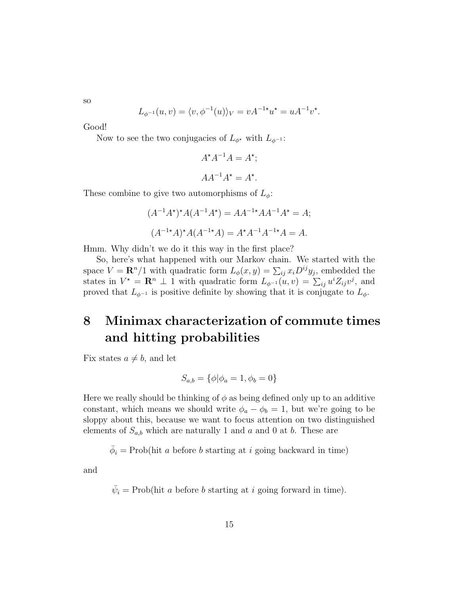so

$$
L_{\phi^{-1}}(u,v) = \langle v, \phi^{-1}(u) \rangle_V = v A^{-1*} u^* = u A^{-1} v^*.
$$

Good!

Now to see the two conjugacies of  $L_{\phi^*}$  with  $L_{\phi^{-1}}$ :

$$
A^{\star}A^{-1}A = A^{\star};
$$

$$
AA^{-1}A^{\star} = A^{\star}.
$$

These combine to give two automorphisms of  $L_{\phi}$ :

$$
(A^{-1}A^*)^*A(A^{-1}A^*) = AA^{-1*}AA^{-1}A^* = A;
$$
  

$$
(A^{-1*}A)^*A(A^{-1*}A) = A^*A^{-1}A^{-1*}A = A.
$$

Hmm. Why didn't we do it this way in the first place?

So, here's what happened with our Markov chain. We started with the space  $V = \mathbf{R}^{n}/1$  with quadratic form  $L_{\phi}(x, y) = \sum_{ij} x_{i} D^{ij} y_{j}$ , embedded the states in  $V^* = \mathbf{R}^n \perp 1$  with quadratic form  $L_{\phi^{-1}}(u, v) = \sum_{ij} u^i Z_{ij} v^j$ , and proved that  $L_{\phi^{-1}}$  is positive definite by showing that it is conjugate to  $L_{\phi}$ .

# 8 Minimax characterization of commute times and hitting probabilities

Fix states  $a \neq b$ , and let

$$
S_{a,b} = \{ \phi | \phi_a = 1, \phi_b = 0 \}
$$

Here we really should be thinking of  $\phi$  as being defined only up to an additive constant, which means we should write  $\phi_a - \phi_b = 1$ , but we're going to be sloppy about this, because we want to focus attention on two distinguished elements of  $S_{a,b}$  which are naturally 1 and a and 0 at b. These are

 $\bar{\phi}_i = \text{Prob}(\text{hit } a \text{ before } b \text{ starting at } i \text{ going backward in time})$ 

and

 $\bar{\psi}_i = \text{Prob}(\text{hit } a \text{ before } b \text{ starting at } i \text{ going forward in time}).$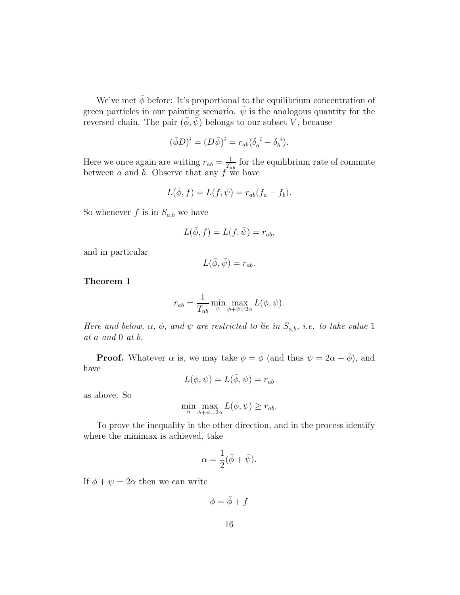We've met  $\bar{\phi}$  before: It's proportional to the equilibrium concentration of green particles in our painting scenario.  $\bar{\psi}$  is the analogous quantity for the reversed chain. The pair  $(\bar{\phi}, \bar{\psi})$  belongs to our subset V, because

$$
(\bar{\phi}D)^i = (D\bar{\psi})^i = r_{ab}(\delta_a^i - \delta_b^i).
$$

Here we once again are writing  $r_{ab} = \frac{1}{T_a}$  $\frac{1}{T_{ab}}$  for the equilibrium rate of commute between  $a$  and  $b$ . Observe that any  $f$  we have

$$
L(\bar{\phi}, f) = L(f, \bar{\psi}) = r_{ab}(f_a - f_b).
$$

So whenever f is in  $S_{a,b}$  we have

$$
L(\bar{\phi}, f) = L(f, \bar{\psi}) = r_{ab},
$$

and in particular

$$
L(\bar{\phi}, \bar{\psi}) = r_{ab}.
$$

Theorem 1

$$
r_{ab} = \frac{1}{T_{ab}} \min_{\alpha} \max_{\phi + \psi = 2\alpha} L(\phi, \psi).
$$

Here and below,  $\alpha$ ,  $\phi$ , and  $\psi$  are restricted to lie in  $S_{a,b}$ , i.e. to take value 1 at a and 0 at b.

**Proof.** Whatever  $\alpha$  is, we may take  $\phi = \bar{\phi}$  (and thus  $\psi = 2\alpha - \bar{\phi}$ ), and have

$$
L(\phi, \psi) = L(\bar{\phi}, \psi) = r_{ab}
$$

as above. So

$$
\min_{\alpha} \max_{\phi + \psi = 2\alpha} L(\phi, \psi) \ge r_{ab}.
$$

To prove the inequality in the other direction, and in the process identify where the minimax is achieved, take

$$
\alpha = \frac{1}{2}(\bar{\phi} + \bar{\psi}).
$$

If  $\phi + \psi = 2\alpha$  then we can write

 $\phi = \bar{\phi} + f$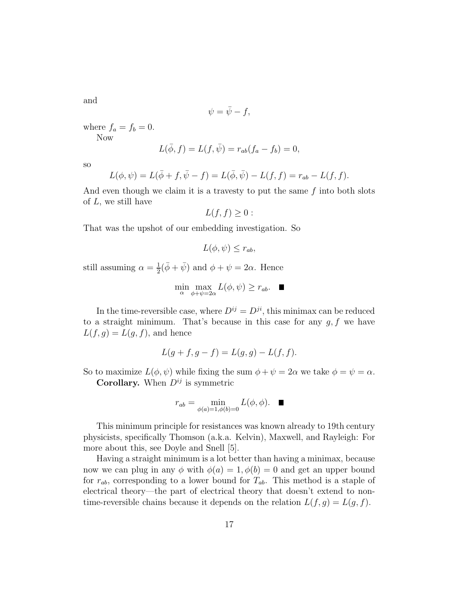and

$$
\psi = \bar{\psi} - f,
$$

where  $f_a = f_b = 0$ . Now

$$
L(\bar{\phi}, f) = L(f, \bar{\psi}) = r_{ab}(f_a - f_b) = 0,
$$

so

$$
L(\phi, \psi) = L(\bar{\phi} + f, \bar{\psi} - f) = L(\bar{\phi}, \bar{\psi}) - L(f, f) = r_{ab} - L(f, f).
$$

And even though we claim it is a travesty to put the same  $f$  into both slots of  $L$ , we still have

$$
L(f,f)\geq 0:
$$

That was the upshot of our embedding investigation. So

$$
L(\phi, \psi) \le r_{ab},
$$

still assuming  $\alpha = \frac{1}{2}$  $\frac{1}{2}(\bar{\phi} + \bar{\psi})$  and  $\phi + \psi = 2\alpha$ . Hence

$$
\min_{\alpha} \max_{\phi + \psi = 2\alpha} L(\phi, \psi) \ge r_{ab}. \quad \blacksquare
$$

In the time-reversible case, where  $D^{ij} = D^{ji}$ , this minimax can be reduced to a straight minimum. That's because in this case for any  $g, f$  we have  $L(f, g) = L(g, f)$ , and hence

$$
L(g + f, g - f) = L(g, g) - L(f, f).
$$

So to maximize  $L(\phi, \psi)$  while fixing the sum  $\phi + \psi = 2\alpha$  we take  $\phi = \psi = \alpha$ . **Corollary.** When  $D^{ij}$  is symmetric

$$
r_{ab} = \min_{\phi(a) = 1, \phi(b) = 0} L(\phi, \phi).
$$

This minimum principle for resistances was known already to 19th century physicists, specifically Thomson (a.k.a. Kelvin), Maxwell, and Rayleigh: For more about this, see Doyle and Snell [5].

Having a straight minimum is a lot better than having a minimax, because now we can plug in any  $\phi$  with  $\phi(a) = 1, \phi(b) = 0$  and get an upper bound for  $r_{ab}$ , corresponding to a lower bound for  $T_{ab}$ . This method is a staple of electrical theory—the part of electrical theory that doesn't extend to nontime-reversible chains because it depends on the relation  $L(f, g) = L(g, f)$ .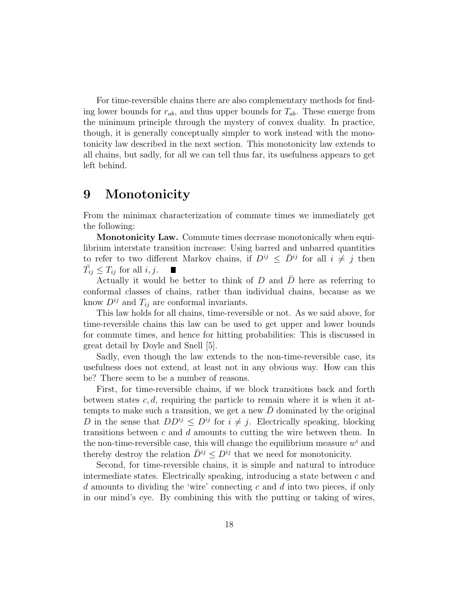For time-reversible chains there are also complementary methods for finding lower bounds for  $r_{ab}$ , and thus upper bounds for  $T_{ab}$ . These emerge from the minimum principle through the mystery of convex duality. In practice, though, it is generally conceptually simpler to work instead with the monotonicity law described in the next section. This monotonicity law extends to all chains, but sadly, for all we can tell thus far, its usefulness appears to get left behind.

# 9 Monotonicity

From the minimax characterization of commute times we immediately get the following:

Monotonicity Law. Commute times decrease monotonically when equilibrium interstate transition increase: Using barred and unbarred quantities to refer to two different Markov chains, if  $D^{ij} \leq \bar{D}^{ij}$  for all  $i \neq j$  then  $\bar{T}_{ij} \leq T_{ij}$  for all  $i, j$ . ш

Actually it would be better to think of  $D$  and  $\overline{D}$  here as referring to conformal classes of chains, rather than individual chains, because as we know  $D^{ij}$  and  $T_{ij}$  are conformal invariants.

This law holds for all chains, time-reversible or not. As we said above, for time-reversible chains this law can be used to get upper and lower bounds for commute times, and hence for hitting probabilities: This is discussed in great detail by Doyle and Snell [5].

Sadly, even though the law extends to the non-time-reversible case, its usefulness does not extend, at least not in any obvious way. How can this be? There seem to be a number of reasons.

First, for time-reversible chains, if we block transitions back and forth between states  $c, d$ , requiring the particle to remain where it is when it attempts to make such a transition, we get a new  $D$  dominated by the original D in the sense that  $DD^{ij} \leq D^{ij}$  for  $i \neq j$ . Electrically speaking, blocking transitions between c and d amounts to cutting the wire between them. In the non-time-reversible case, this will change the equilibrium measure  $w<sup>i</sup>$  and thereby destroy the relation  $\bar{D}^{ij} \leq D^{ij}$  that we need for monotonicity.

Second, for time-reversible chains, it is simple and natural to introduce intermediate states. Electrically speaking, introducing a state between  $c$  and d amounts to dividing the 'wire' connecting c and d into two pieces, if only in our mind's eye. By combining this with the putting or taking of wires,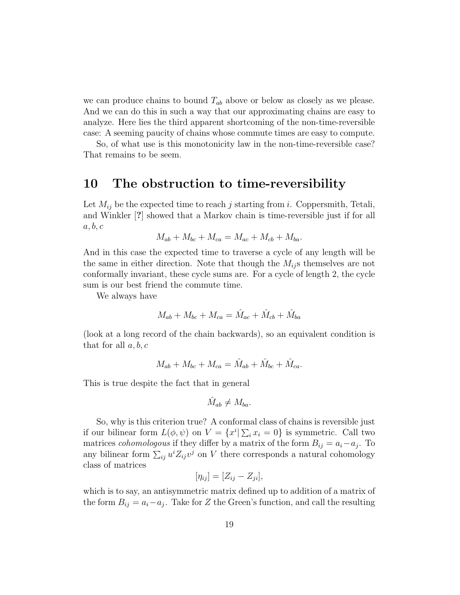we can produce chains to bound  $T_{ab}$  above or below as closely as we please. And we can do this in such a way that our approximating chains are easy to analyze. Here lies the third apparent shortcoming of the non-time-reversible case: A seeming paucity of chains whose commute times are easy to compute.

So, of what use is this monotonicity law in the non-time-reversible case? That remains to be seem.

#### 10 The obstruction to time-reversibility

Let  $M_{ij}$  be the expected time to reach j starting from i. Coppersmith, Tetali, and Winkler [?] showed that a Markov chain is time-reversible just if for all  $a, b, c$ 

$$
M_{ab} + M_{bc} + M_{ca} = M_{ac} + M_{cb} + M_{ba}.
$$

And in this case the expected time to traverse a cycle of any length will be the same in either direction. Note that though the  $M_{ij}$  s themselves are not conformally invariant, these cycle sums are. For a cycle of length 2, the cycle sum is our best friend the commute time.

We always have

$$
M_{ab} + M_{bc} + M_{ca} = \hat{M}_{ac} + \hat{M}_{cb} + \hat{M}_{ba}
$$

(look at a long record of the chain backwards), so an equivalent condition is that for all  $a, b, c$ 

$$
M_{ab} + M_{bc} + M_{ca} = \hat{M}_{ab} + \hat{M}_{bc} + \hat{M}_{ca}.
$$

This is true despite the fact that in general

$$
\hat{M}_{ab} \neq M_{ba}.
$$

So, why is this criterion true? A conformal class of chains is reversible just if our bilinear form  $L(\phi, \psi)$  on  $V = \{x^i | \sum_i x_i = 0\}$  is symmetric. Call two matrices *cohomologous* if they differ by a matrix of the form  $B_{ij} = a_i - a_j$ . To any bilinear form  $\sum_{ij} u^i Z_{ij} v^j$  on V there corresponds a natural cohomology class of matrices

$$
[\eta_{ij}] = [Z_{ij} - Z_{ji}],
$$

which is to say, an antisymmetric matrix defined up to addition of a matrix of the form  $B_{ij} = a_i - a_j$ . Take for Z the Green's function, and call the resulting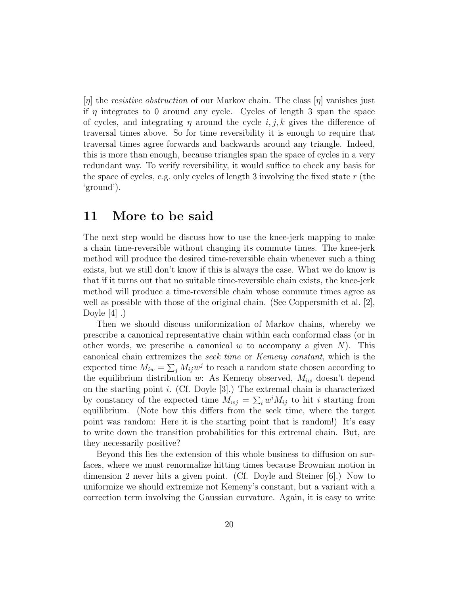$[\eta]$  the *resistive obstruction* of our Markov chain. The class  $[\eta]$  vanishes just if  $\eta$  integrates to 0 around any cycle. Cycles of length 3 span the space of cycles, and integrating  $\eta$  around the cycle i, j, k gives the difference of traversal times above. So for time reversibility it is enough to require that traversal times agree forwards and backwards around any triangle. Indeed, this is more than enough, because triangles span the space of cycles in a very redundant way. To verify reversibility, it would suffice to check any basis for the space of cycles, e.g. only cycles of length 3 involving the fixed state  $r$  (the 'ground').

#### 11 More to be said

The next step would be discuss how to use the knee-jerk mapping to make a chain time-reversible without changing its commute times. The knee-jerk method will produce the desired time-reversible chain whenever such a thing exists, but we still don't know if this is always the case. What we do know is that if it turns out that no suitable time-reversible chain exists, the knee-jerk method will produce a time-reversible chain whose commute times agree as well as possible with those of the original chain. (See Coppersmith et al. [2], Doyle  $[4]$ .)

Then we should discuss uniformization of Markov chains, whereby we prescribe a canonical representative chain within each conformal class (or in other words, we prescribe a canonical  $w$  to accompany a given  $N$ ). This canonical chain extremizes the seek time or Kemeny constant, which is the expected time  $M_{iw} = \sum_j M_{ij} w^j$  to reach a random state chosen according to the equilibrium distribution w: As Kemeny observed,  $M_{iw}$  doesn't depend on the starting point i. (Cf. Doyle  $[3]$ .) The extremal chain is characterized by constancy of the expected time  $M_{uj} = \sum_i w^i M_{ij}$  to hit *i* starting from equilibrium. (Note how this differs from the seek time, where the target point was random: Here it is the starting point that is random!) It's easy to write down the transition probabilities for this extremal chain. But, are they necessarily positive?

Beyond this lies the extension of this whole business to diffusion on surfaces, where we must renormalize hitting times because Brownian motion in dimension 2 never hits a given point. (Cf. Doyle and Steiner [6].) Now to uniformize we should extremize not Kemeny's constant, but a variant with a correction term involving the Gaussian curvature. Again, it is easy to write